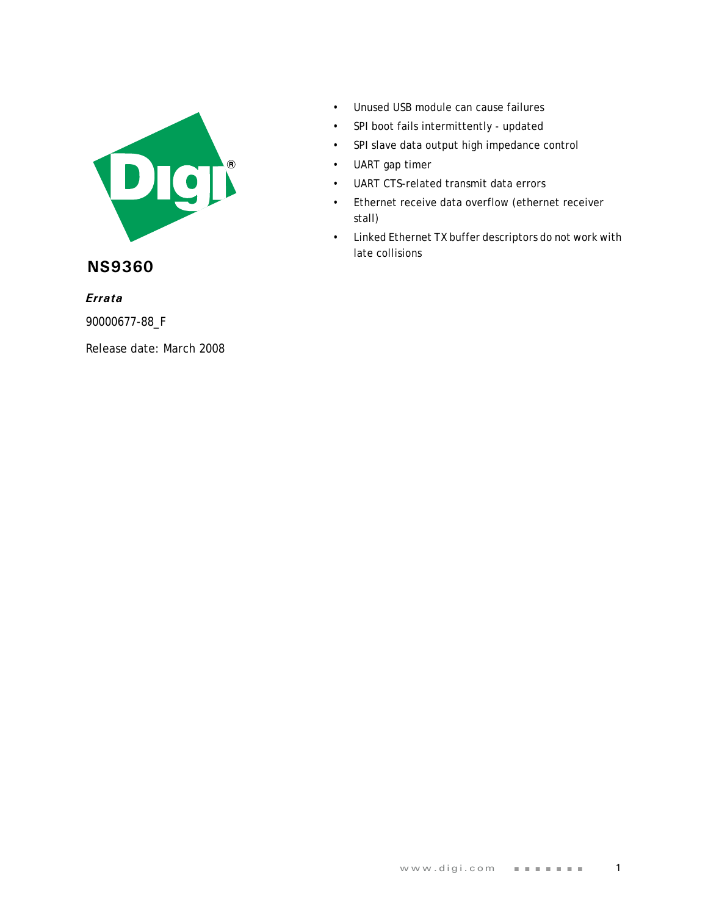

**NS9360**

*Errata* 

90000677-88\_F

Release date: March 2008

- Unused USB module can cause failures
- SPI boot fails intermittently updated
- SPI slave data output high impedance control
- UART gap timer
- UART CTS-related transmit data errors
- Ethernet receive data overflow (ethernet receiver stall)
- Linked Ethernet TX buffer descriptors do not work with late collisions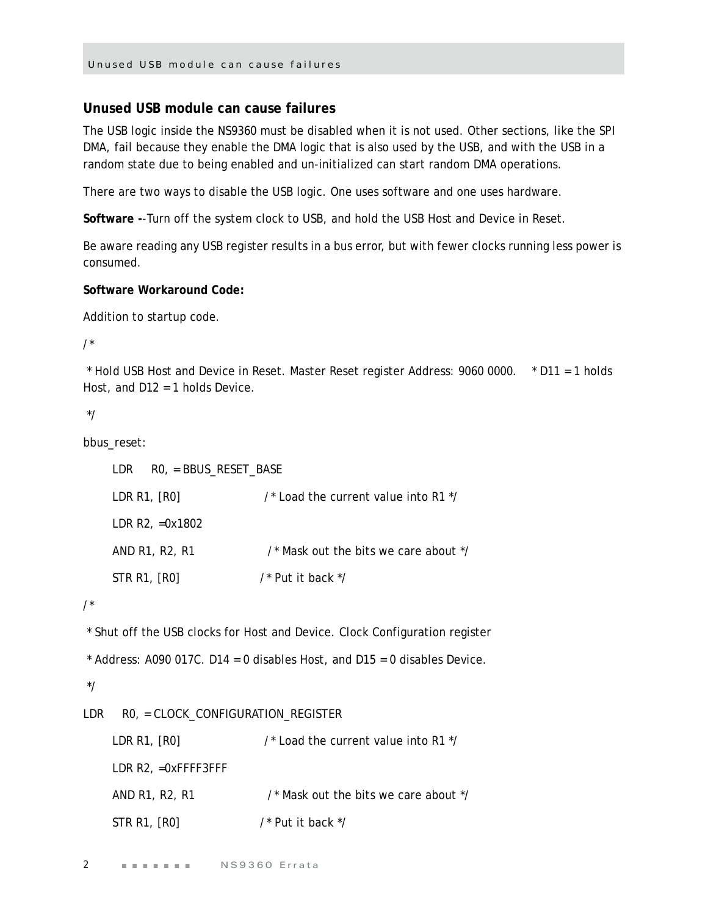### **Unused USB module can cause failures**

The USB logic inside the NS9360 must be disabled when it is not used. Other sections, like the SPI DMA, fail because they enable the DMA logic that is also used by the USB, and with the USB in a random state due to being enabled and un-initialized can start random DMA operations.

There are two ways to disable the USB logic. One uses software and one uses hardware.

**Software -**-Turn off the system clock to USB, and hold the USB Host and Device in Reset.

Be aware reading any USB register results in a bus error, but with fewer clocks running less power is consumed.

#### **Software Workaround Code:**

Addition to startup code.

/\*

 \* Hold USB Host and Device in Reset. Master Reset register Address: 9060 0000. \* D11 = 1 holds Host, and D12 = 1 holds Device.

\*/

bbus reset:

```
 LDR R0, = BBUS_RESET_BASE
LDR R1, [R0] \frac{1}{2} /* Load the current value into R1 \frac{1}{2} LDR R2, =0x1802
AND R1, R2, R1 \frac{1}{2} /* Mask out the bits we care about \frac{1}{2}STR R1, [RO] /* Put it back */
```
/\*

\* Shut off the USB clocks for Host and Device. Clock Configuration register

```
* Address: A090 017C. D14 = 0 disables Host, and D15 = 0 disables Device.
```
\*/

LDR R0, = CLOCK\_CONFIGURATION\_REGISTER

| LDR R1, $[RO]$            | $\prime$ * Load the current value into R1 $\prime\prime$ |
|---------------------------|----------------------------------------------------------|
| $LDR R2$ , $=0$ xFFFF3FFF |                                                          |
| AND R1, R2, R1            | /* Mask out the bits we care about */                    |
| STR R1, [R0]              | /* Put it back */                                        |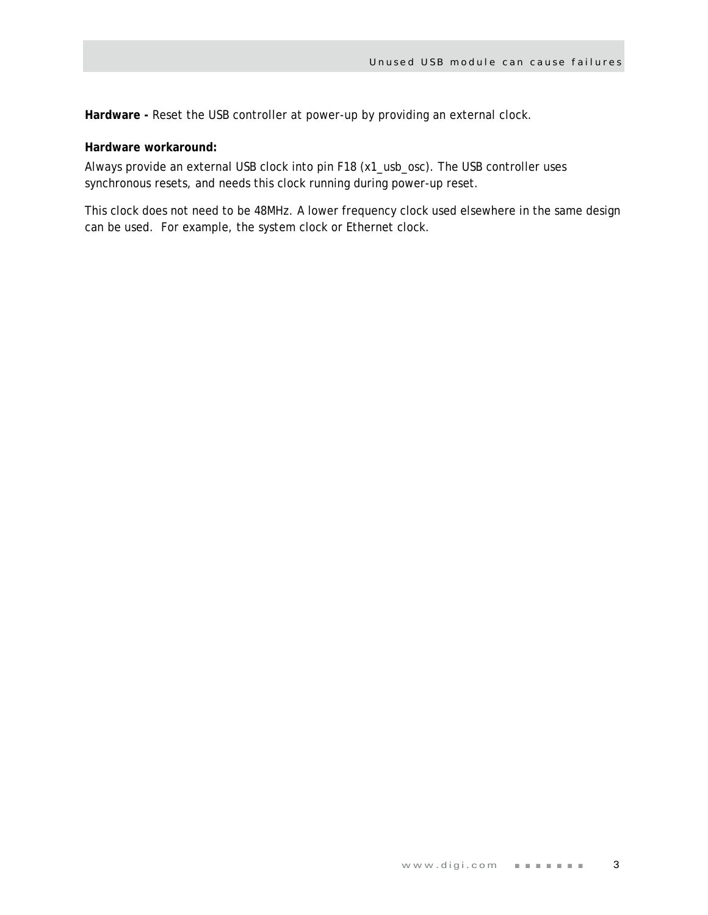**Hardware -** Reset the USB controller at power-up by providing an external clock.

## **Hardware workaround:**

Always provide an external USB clock into pin F18 (x1\_usb\_osc). The USB controller uses synchronous resets, and needs this clock running during power-up reset.

This clock does not need to be 48MHz. A lower frequency clock used elsewhere in the same design can be used. For example, the system clock or Ethernet clock.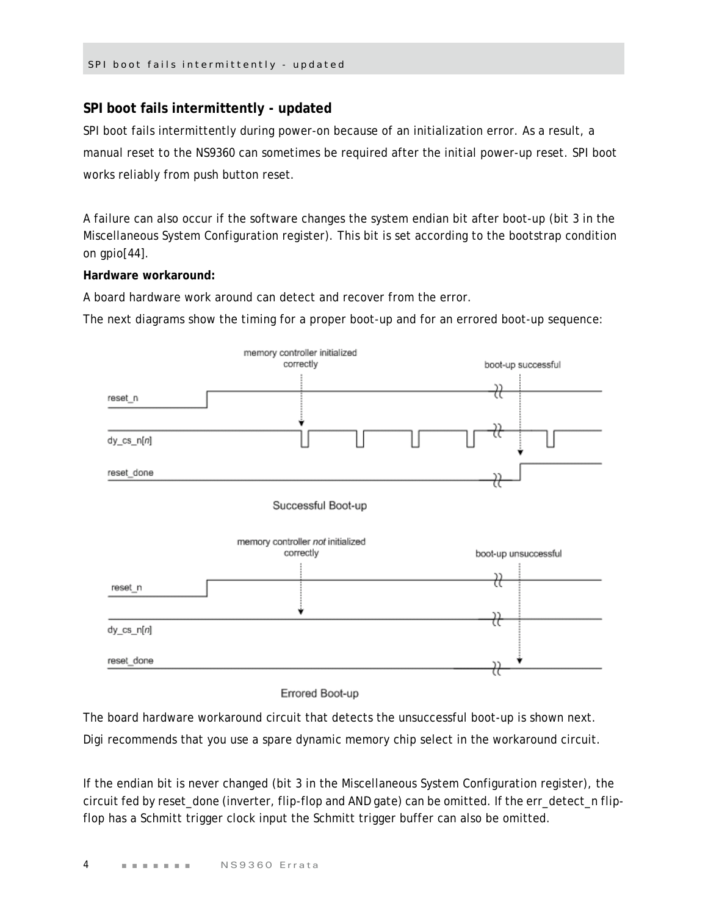# **SPI boot fails intermittently - updated**

SPI boot fails intermittently during power-on because of an initialization error. As a result, a manual reset to the NS9360 can sometimes be required after the initial power-up reset. SPI boot works reliably from push button reset.

A failure can also occur if the software changes the system endian bit after boot-up (bit 3 in the Miscellaneous System Configuration register). This bit is set according to the bootstrap condition on gpio[44].

## **Hardware workaround:**

A board hardware work around can detect and recover from the error.

The next diagrams show the timing for a proper boot-up and for an errored boot-up sequence:



Errored Boot-up

The board hardware workaround circuit that detects the unsuccessful boot-up is shown next.

Digi recommends that you use a spare dynamic memory chip select in the workaround circuit.

If the endian bit is never changed (bit 3 in the Miscellaneous System Configuration register), the circuit fed by reset\_done (inverter, flip-flop and AND gate) can be omitted. If the err\_detect\_n flipflop has a Schmitt trigger clock input the Schmitt trigger buffer can also be omitted.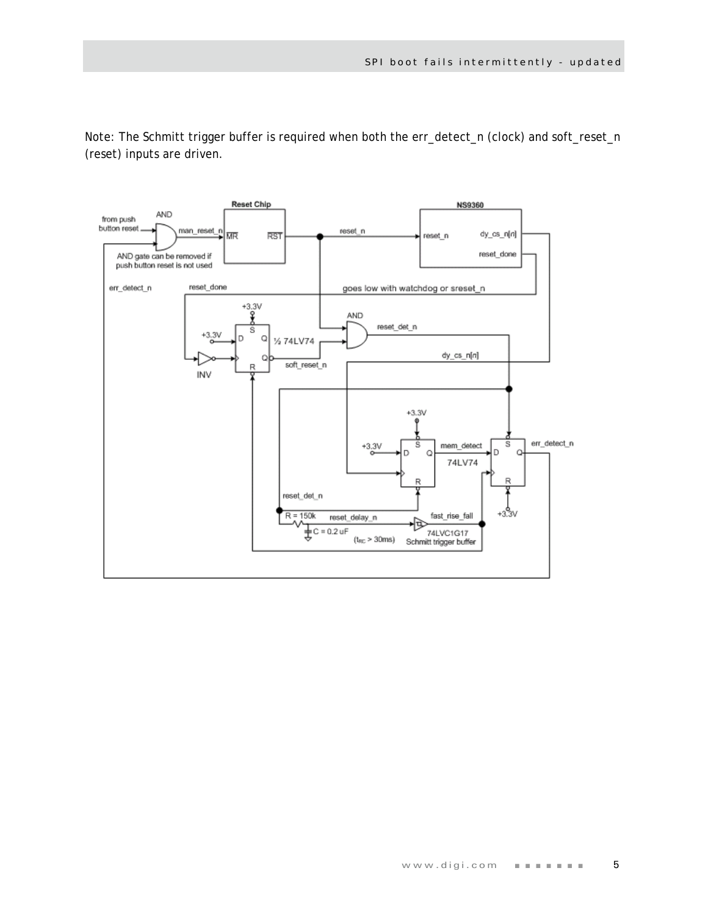Note: The Schmitt trigger buffer is required when both the err\_detect\_n (clock) and soft\_reset\_n (reset) inputs are driven.

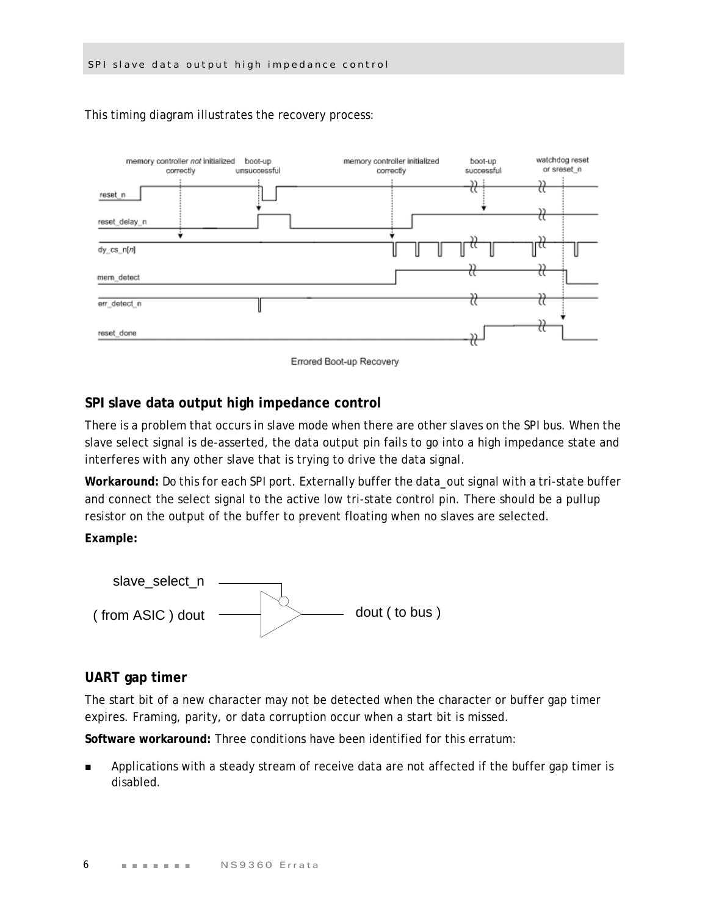

This timing diagram illustrates the recovery process:



#### **SPI slave data output high impedance control**

There is a problem that occurs in slave mode when there are other slaves on the SPI bus. When the slave select signal is de-asserted, the data output pin fails to go into a high impedance state and interferes with any other slave that is trying to drive the data signal.

**Workaround:** Do this for each SPI port. Externally buffer the data\_out signal with a tri-state buffer and connect the select signal to the active low tri-state control pin. There should be a pullup resistor on the output of the buffer to prevent floating when no slaves are selected.

**Example:**



### **UART gap timer**

The start bit of a new character may not be detected when the character or buffer gap timer expires. Framing, parity, or data corruption occur when a start bit is missed.

**Software workaround:** Three conditions have been identified for this erratum:

 Applications with a steady stream of receive data are not affected if the buffer gap timer is disabled.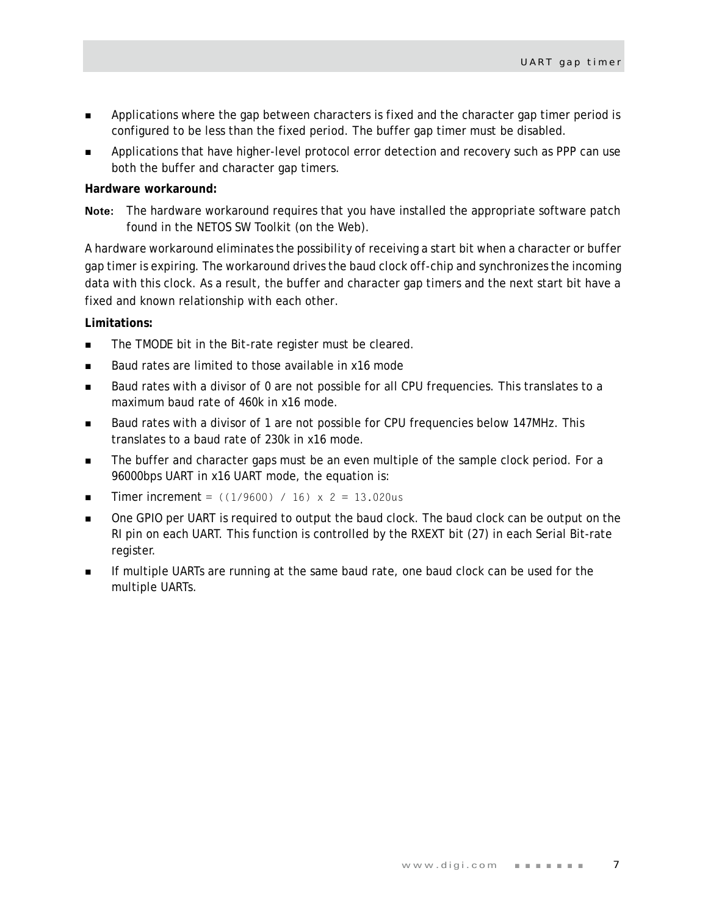- **Applications where the gap between characters is fixed and the character gap timer period is** configured to be less than the fixed period. The buffer gap timer must be disabled.
- Applications that have higher-level protocol error detection and recovery such as PPP can use both the buffer and character gap timers.

#### **Hardware workaround:**

**Note:** The hardware workaround requires that you have installed the appropriate software patch found in the NETOS SW Toolkit (on the Web).

A hardware workaround eliminates the possibility of receiving a start bit when a character or buffer gap timer is expiring. The workaround drives the baud clock off-chip and synchronizes the incoming data with this clock. As a result, the buffer and character gap timers and the next start bit have a fixed and known relationship with each other.

#### **Limitations:**

- The TMODE bit in the Bit-rate register must be cleared.
- Baud rates are limited to those available in x16 mode
- Baud rates with a divisor of 0 are not possible for all CPU frequencies. This translates to a maximum baud rate of 460k in x16 mode.
- Baud rates with a divisor of 1 are not possible for CPU frequencies below 147MHz. This translates to a baud rate of 230k in x16 mode.
- **The buffer and character gaps must be an even multiple of the sample clock period. For a** 96000bps UART in x16 UART mode, the equation is:
- **Timer increment** =  $((1/9600) / 16) \times 2 = 13.020$ us
- **Dree GPIO per UART is required to output the baud clock. The baud clock can be output on the** RI pin on each UART. This function is controlled by the RXEXT bit (27) in each Serial Bit-rate register.
- **If multiple UARTs are running at the same baud rate, one baud clock can be used for the** multiple UARTs.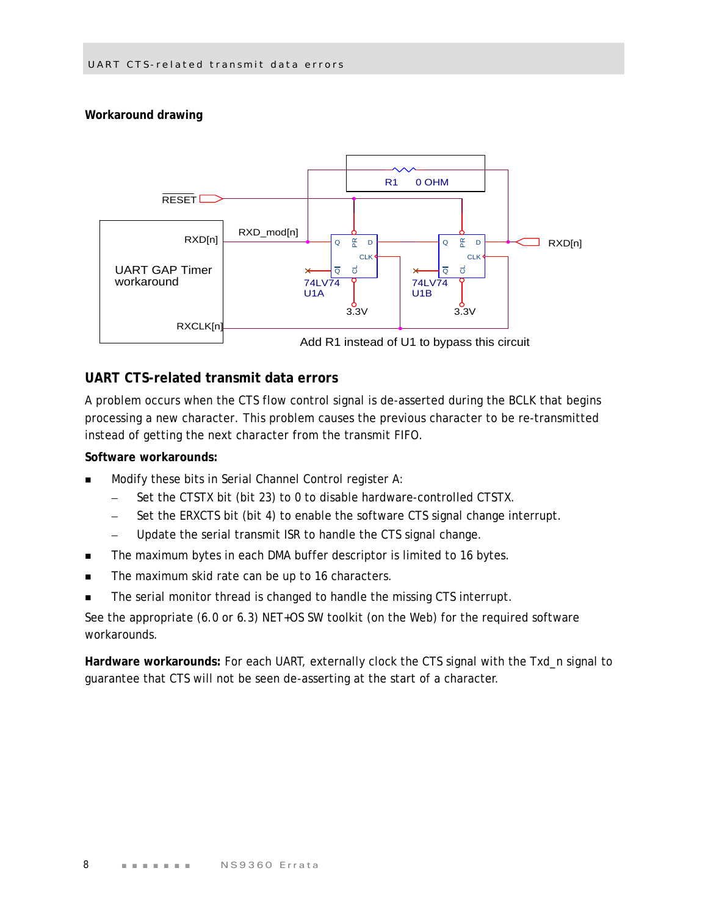# **Workaround drawing**



# **UART CTS-related transmit data errors**

A problem occurs when the CTS flow control signal is de-asserted during the BCLK that begins processing a new character. This problem causes the previous character to be re-transmitted instead of getting the next character from the transmit FIFO.

## **Software workarounds:**

- Modify these bits in Serial Channel Control register A:
	- Set the CTSTX bit (bit 23) to 0 to disable hardware-controlled CTSTX.
	- Set the ERXCTS bit (bit 4) to enable the software CTS signal change interrupt.
	- Update the serial transmit ISR to handle the CTS signal change.
- The maximum bytes in each DMA buffer descriptor is limited to 16 bytes.
- The maximum skid rate can be up to 16 characters.
- The serial monitor thread is changed to handle the missing CTS interrupt.

See the appropriate (6.0 or 6.3) NET+OS SW toolkit (on the Web) for the required software workarounds.

**Hardware workarounds:** For each UART, externally clock the CTS signal with the Txd\_n signal to guarantee that CTS will not be seen de-asserting at the start of a character.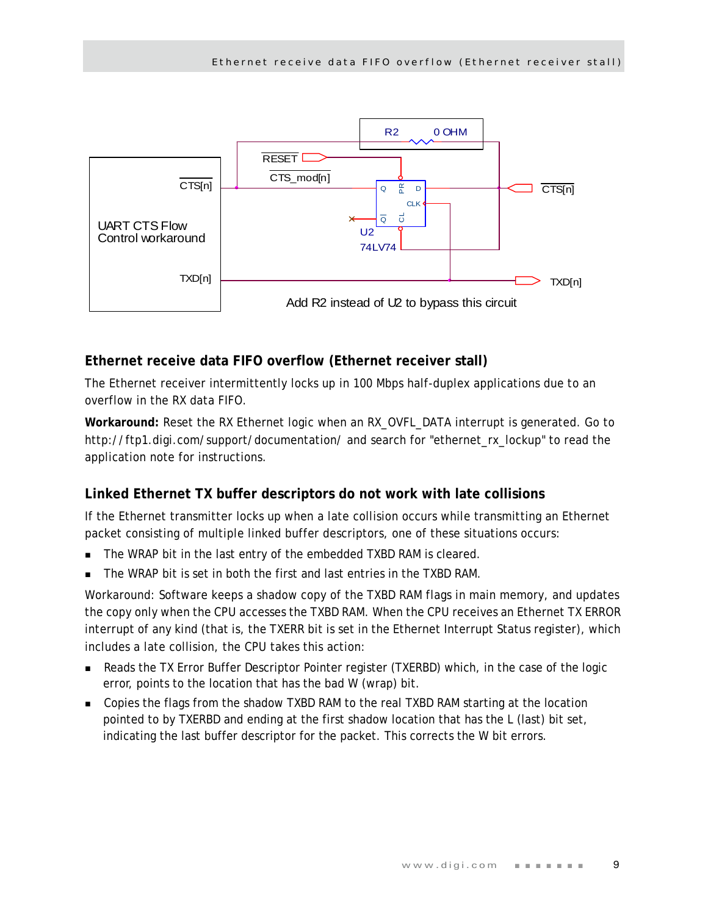

# **Ethernet receive data FIFO overflow (Ethernet receiver stall)**

The Ethernet receiver intermittently locks up in 100 Mbps half-duplex applications due to an overflow in the RX data FIFO.

**Workaround:** Reset the RX Ethernet logic when an RX\_OVFL\_DATA interrupt is generated. Go to http://ftp1.digi.com/support/documentation/ and search for "ethernet\_rx\_lockup" to read the application note for instructions.

# **Linked Ethernet TX buffer descriptors do not work with late collisions**

If the Ethernet transmitter locks up when a late collision occurs while transmitting an Ethernet packet consisting of multiple linked buffer descriptors, one of these situations occurs:

- The WRAP bit in the last entry of the embedded TXBD RAM is cleared.
- The WRAP bit is set in both the first and last entries in the TXBD RAM.

Workaround: Software keeps a shadow copy of the TXBD RAM flags in main memory, and updates the copy only when the CPU accesses the TXBD RAM. When the CPU receives an Ethernet TX ERROR interrupt of any kind (that is, the TXERR bit is set in the Ethernet Interrupt Status register), which includes a late collision, the CPU takes this action:

- **Reads the TX Error Buffer Descriptor Pointer register (TXERBD) which, in the case of the logic** error, points to the location that has the bad W (wrap) bit.
- Copies the flags from the shadow TXBD RAM to the real TXBD RAM starting at the location pointed to by TXERBD and ending at the first shadow location that has the L (last) bit set, indicating the last buffer descriptor for the packet. This corrects the W bit errors.